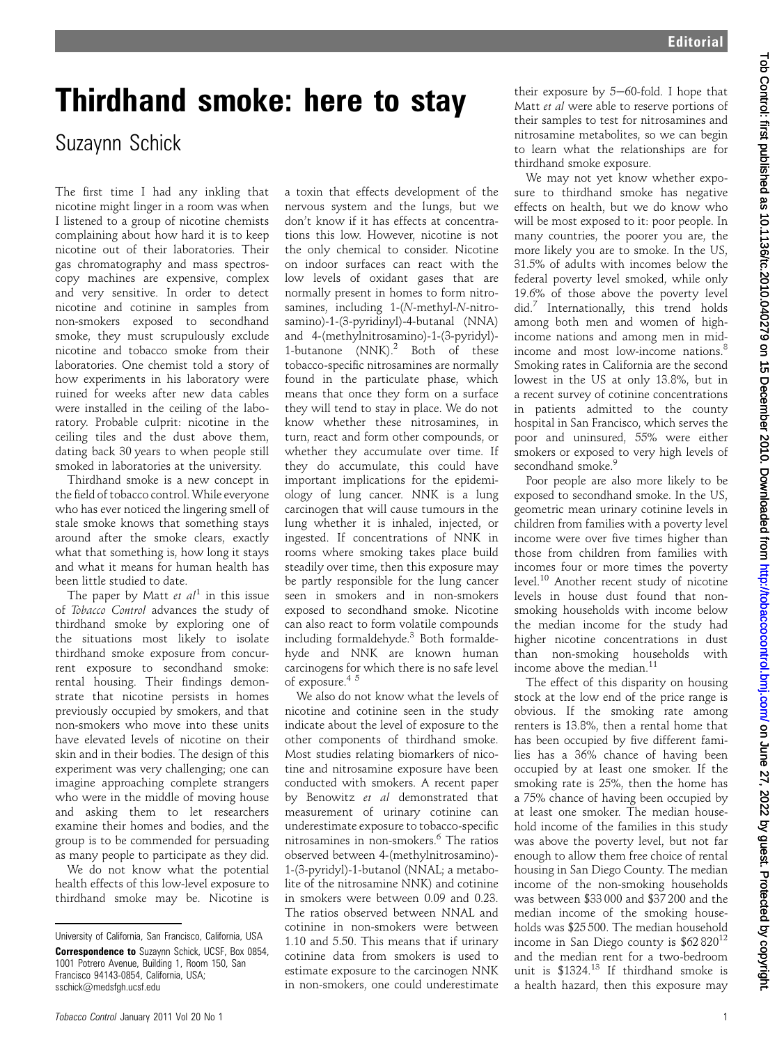## Thirdhand smoke: here to stay

## Suzaynn Schick

The first time I had any inkling that nicotine might linger in a room was when I listened to a group of nicotine chemists complaining about how hard it is to keep nicotine out of their laboratories. Their gas chromatography and mass spectroscopy machines are expensive, complex and very sensitive. In order to detect nicotine and cotinine in samples from non-smokers exposed to secondhand smoke, they must scrupulously exclude nicotine and tobacco smoke from their laboratories. One chemist told a story of how experiments in his laboratory were ruined for weeks after new data cables were installed in the ceiling of the laboratory. Probable culprit: nicotine in the ceiling tiles and the dust above them, dating back 30 years to when people still smoked in laboratories at the university.

Thirdhand smoke is a new concept in the field of tobacco control. While everyone who has ever noticed the lingering smell of stale smoke knows that something stays around after the smoke clears, exactly what that something is, how long it stays and what it means for human health has been little studied to date.

The paper by Matt *et al*<sup>1</sup> in this issue of Tobacco Control advances the study of thirdhand smoke by exploring one of the situations most likely to isolate thirdhand smoke exposure from concurrent exposure to secondhand smoke: rental housing. Their findings demonstrate that nicotine persists in homes previously occupied by smokers, and that non-smokers who move into these units have elevated levels of nicotine on their skin and in their bodies. The design of this experiment was very challenging; one can imagine approaching complete strangers who were in the middle of moving house and asking them to let researchers examine their homes and bodies, and the group is to be commended for persuading as many people to participate as they did.

We do not know what the potential health effects of this low-level exposure to thirdhand smoke may be. Nicotine is a toxin that effects development of the nervous system and the lungs, but we don't know if it has effects at concentrations this low. However, nicotine is not the only chemical to consider. Nicotine on indoor surfaces can react with the low levels of oxidant gases that are normally present in homes to form nitrosamines, including 1-(N-methyl-N-nitrosamino)-1-(3-pyridinyl)-4-butanal (NNA) and 4-(methylnitrosamino)-1-(3-pyridyl)- 1-butanone (NNK).<sup>2</sup> Both of these tobacco-specific nitrosamines are normally found in the particulate phase, which means that once they form on a surface they will tend to stay in place. We do not know whether these nitrosamines, in turn, react and form other compounds, or whether they accumulate over time. If they do accumulate, this could have important implications for the epidemiology of lung cancer. NNK is a lung carcinogen that will cause tumours in the lung whether it is inhaled, injected, or ingested. If concentrations of NNK in rooms where smoking takes place build steadily over time, then this exposure may be partly responsible for the lung cancer seen in smokers and in non-smokers exposed to secondhand smoke. Nicotine can also react to form volatile compounds including formaldehyde.<sup>3</sup> Both formaldehyde and NNK are known human carcinogens for which there is no safe level of exposure.4 5

We also do not know what the levels of nicotine and cotinine seen in the study indicate about the level of exposure to the other components of thirdhand smoke. Most studies relating biomarkers of nicotine and nitrosamine exposure have been conducted with smokers. A recent paper by Benowitz et al demonstrated that measurement of urinary cotinine can underestimate exposure to tobacco-specific nitrosamines in non-smokers.6 The ratios observed between 4-(methylnitrosamino)- 1-(3-pyridyl)-1-butanol (NNAL; a metabolite of the nitrosamine NNK) and cotinine in smokers were between 0.09 and 0.23. The ratios observed between NNAL and cotinine in non-smokers were between 1.10 and 5.50. This means that if urinary cotinine data from smokers is used to estimate exposure to the carcinogen NNK in non-smokers, one could underestimate

We may not yet know whether exposure to thirdhand smoke has negative effects on health, but we do know who will be most exposed to it: poor people. In many countries, the poorer you are, the more likely you are to smoke. In the US, 31.5% of adults with incomes below the federal poverty level smoked, while only 19.6% of those above the poverty level did.7 Internationally, this trend holds among both men and women of highincome nations and among men in midincome and most low-income nations.<sup>8</sup> Smoking rates in California are the second lowest in the US at only 13.8%, but in a recent survey of cotinine concentrations in patients admitted to the county hospital in San Francisco, which serves the poor and uninsured, 55% were either smokers or exposed to very high levels of secondhand smoke.<sup>9</sup>

Poor people are also more likely to be exposed to secondhand smoke. In the US, geometric mean urinary cotinine levels in children from families with a poverty level income were over five times higher than those from children from families with incomes four or more times the poverty level.<sup>10</sup> Another recent study of nicotine levels in house dust found that nonsmoking households with income below the median income for the study had higher nicotine concentrations in dust than non-smoking households with income above the median.<sup>11</sup>

The effect of this disparity on housing stock at the low end of the price range is obvious. If the smoking rate among renters is 13.8%, then a rental home that has been occupied by five different families has a 36% chance of having been occupied by at least one smoker. If the smoking rate is 25%, then the home has a 75% chance of having been occupied by at least one smoker. The median household income of the families in this study was above the poverty level, but not far enough to allow them free choice of rental housing in San Diego County. The median income of the non-smoking households was between \$33 000 and \$37 200 and the median income of the smoking households was \$25 500. The median household income in San Diego county is \$62 820<sup>12</sup> and the median rent for a two-bedroom unit is \$1324.<sup>13</sup> If thirdhand smoke is a health hazard, then this exposure may

University of California, San Francisco, California, USA **Correspondence to** Suzaynn Schick, UCSF, Box 0854, 1001 Potrero Avenue, Building 1, Room 150, San Francisco 94143-0854, California, USA; sschick@medsfgh.ucsf.edu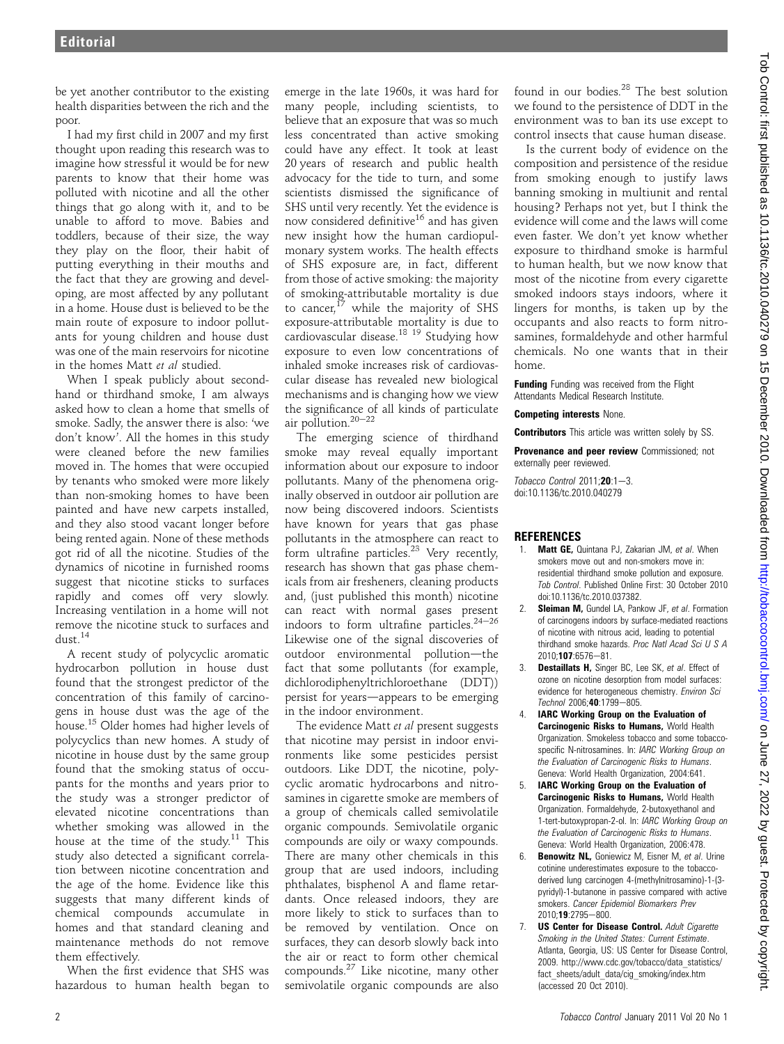be yet another contributor to the existing health disparities between the rich and the poor.

I had my first child in 2007 and my first thought upon reading this research was to imagine how stressful it would be for new parents to know that their home was polluted with nicotine and all the other things that go along with it, and to be unable to afford to move. Babies and toddlers, because of their size, the way they play on the floor, their habit of putting everything in their mouths and the fact that they are growing and developing, are most affected by any pollutant in a home. House dust is believed to be the main route of exposure to indoor pollutants for young children and house dust was one of the main reservoirs for nicotine in the homes Matt et al studied.

When I speak publicly about secondhand or thirdhand smoke, I am always asked how to clean a home that smells of smoke. Sadly, the answer there is also: 'we don't know'. All the homes in this study were cleaned before the new families moved in. The homes that were occupied by tenants who smoked were more likely than non-smoking homes to have been painted and have new carpets installed, and they also stood vacant longer before being rented again. None of these methods got rid of all the nicotine. Studies of the dynamics of nicotine in furnished rooms suggest that nicotine sticks to surfaces rapidly and comes off very slowly. Increasing ventilation in a home will not remove the nicotine stuck to surfaces and dust.<sup>14</sup>

A recent study of polycyclic aromatic hydrocarbon pollution in house dust found that the strongest predictor of the concentration of this family of carcinogens in house dust was the age of the house.<sup>15</sup> Older homes had higher levels of polycyclics than new homes. A study of nicotine in house dust by the same group found that the smoking status of occupants for the months and years prior to the study was a stronger predictor of elevated nicotine concentrations than whether smoking was allowed in the house at the time of the study.<sup>11</sup> This study also detected a significant correlation between nicotine concentration and the age of the home. Evidence like this suggests that many different kinds of chemical compounds accumulate in homes and that standard cleaning and maintenance methods do not remove them effectively.

When the first evidence that SHS was hazardous to human health began to emerge in the late 1960s, it was hard for many people, including scientists, to believe that an exposure that was so much less concentrated than active smoking could have any effect. It took at least 20 years of research and public health advocacy for the tide to turn, and some scientists dismissed the significance of SHS until very recently. Yet the evidence is now considered definitive<sup>16</sup> and has given new insight how the human cardiopulmonary system works. The health effects of SHS exposure are, in fact, different from those of active smoking: the majority of smoking-attributable mortality is due to cancer,<sup>17</sup> while the majority of SHS exposure-attributable mortality is due to cardiovascular disease.18 19 Studying how exposure to even low concentrations of inhaled smoke increases risk of cardiovascular disease has revealed new biological mechanisms and is changing how we view the significance of all kinds of particulate air pollution. $20-22$ 

The emerging science of thirdhand smoke may reveal equally important information about our exposure to indoor pollutants. Many of the phenomena originally observed in outdoor air pollution are now being discovered indoors. Scientists have known for years that gas phase pollutants in the atmosphere can react to form ultrafine particles.<sup>23</sup> Very recently, research has shown that gas phase chemicals from air fresheners, cleaning products and, (just published this month) nicotine can react with normal gases present indoors to form ultrafine particles. $24-26$ Likewise one of the signal discoveries of outdoor environmental pollution-the fact that some pollutants (for example, dichlorodiphenyltrichloroethane (DDT)) persist for years—appears to be emerging in the indoor environment.

The evidence Matt et al present suggests that nicotine may persist in indoor environments like some pesticides persist outdoors. Like DDT, the nicotine, polycyclic aromatic hydrocarbons and nitrosamines in cigarette smoke are members of a group of chemicals called semivolatile organic compounds. Semivolatile organic compounds are oily or waxy compounds. There are many other chemicals in this group that are used indoors, including phthalates, bisphenol A and flame retardants. Once released indoors, they are more likely to stick to surfaces than to be removed by ventilation. Once on surfaces, they can desorb slowly back into the air or react to form other chemical compounds.<sup>27</sup> Like nicotine, many other semivolatile organic compounds are also

found in our bodies. $^{28}$  The best solution we found to the persistence of DDT in the environment was to ban its use except to control insects that cause human disease.

Is the current body of evidence on the composition and persistence of the residue from smoking enough to justify laws banning smoking in multiunit and rental housing? Perhaps not yet, but I think the evidence will come and the laws will come even faster. We don't yet know whether exposure to thirdhand smoke is harmful to human health, but we now know that most of the nicotine from every cigarette smoked indoors stays indoors, where it lingers for months, is taken up by the occupants and also reacts to form nitrosamines, formaldehyde and other harmful chemicals. No one wants that in their home.

**Funding** Funding was received from the Flight Attendants Medical Research Institute.

Competing interests None.

**Contributors** This article was written solely by SS.

**Provenance and peer review Commissioned; not** externally peer reviewed.

Tobacco Control  $2011:20:1-3$ . doi:10.1136/tc.2010.040279

## **REFERENCES**

- 1. Matt GE, Quintana PJ, Zakarian JM, et al. When smokers move out and non-smokers move in: residential thirdhand smoke pollution and exposure. Tob Control. Published Online First: 30 October 2010 doi:10.1136/tc.2010.037382.
- 2. Sleiman M, Gundel LA, Pankow JF, et al. Formation of carcinogens indoors by surface-mediated reactions of nicotine with nitrous acid, leading to potential thirdhand smoke hazards. Proc Natl Acad Sci U S A  $2010 \cdot 107 \cdot 6576 - 81$
- 3. **Destaillats H,** Singer BC, Lee SK, et al. Effect of ozone on nicotine desorption from model surfaces: evidence for heterogeneous chemistry. Environ Sci Technol 2006;40:1799-805.
- 4. IARC Working Group on the Evaluation of **Carcinogenic Risks to Humans, World Health** Organization. Smokeless tobacco and some tobaccospecific N-nitrosamines. In: IARC Working Group on the Evaluation of Carcinogenic Risks to Humans. Geneva: World Health Organization, 2004:641.
- 5. IARC Working Group on the Evaluation of Carcinogenic Risks to Humans, World Health Organization. Formaldehyde, 2-butoxyethanol and 1-tert-butoxypropan-2-ol. In: IARC Working Group on the Evaluation of Carcinogenic Risks to Humans. Geneva: World Health Organization, 2006:478.
- 6. Benowitz NL, Goniewicz M, Eisner M, et al. Urine cotinine underestimates exposure to the tobaccoderived lung carcinogen 4-(methylnitrosamino)-1-(3 pyridyl)-1-butanone in passive compared with active smokers. Cancer Epidemiol Biomarkers Prev 2010:19:2795-800
- 7. **US Center for Disease Control.** Adult Cigarette Smoking in the United States: Current Estimate. Atlanta, Georgia, US: US Center for Disease Control, 2009. http://www.cdc.gov/tobacco/data\_statistics/ fact\_sheets/adult\_data/cig\_smoking/index.htm (accessed 20 Oct 2010).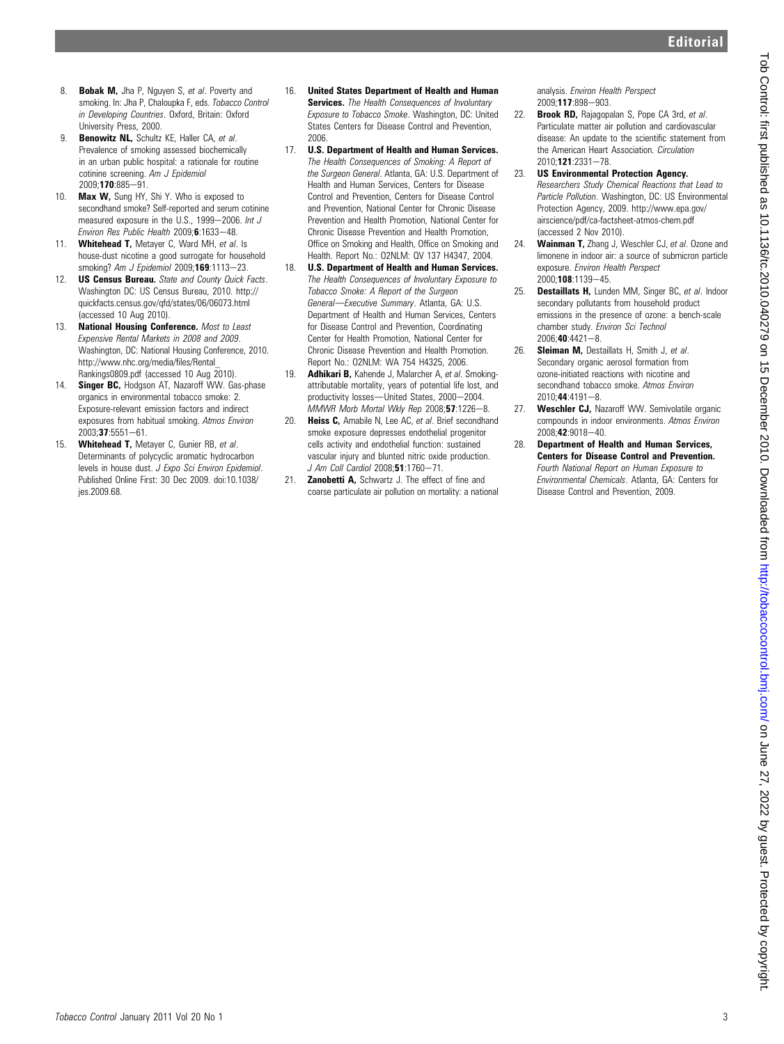- 8. **Bobak M,** Jha P, Nguyen S, et al. Poverty and smoking. In: Jha P, Chaloupka F, eds. Tobacco Control in Developing Countries. Oxford, Britain: Oxford University Press, 2000.
- 9. **Benowitz NL, Schultz KE**, Haller CA, et al. Prevalence of smoking assessed biochemically in an urban public hospital: a rationale for routine cotinine screening. Am J Epidemiol  $2009;170:885 - 91.$
- 10. Max W, Sung HY, Shi Y. Who is exposed to secondhand smoke? Self-reported and serum cotinine measured exposure in the U.S.  $1999-2006$ . Int J. Environ Res Public Health 2009;6:1633-48.
- 11. Whitehead T, Metayer C, Ward MH, et al. Is house-dust nicotine a good surrogate for household smoking? Am J Epidemiol 2009;169:1113-23.
- 12. **US Census Bureau.** State and County Quick Facts. Washington DC: US Census Bureau, 2010. http:// quickfacts.census.gov/qfd/states/06/06073.html (accessed 10 Aug 2010).
- 13. National Housing Conference. Most to Least Expensive Rental Markets in 2008 and 2009. Washington, DC: National Housing Conference, 2010. http://www.nhc.org/media/files/Rental\_ Rankings0809.pdf (accessed 10 Aug 2010).
- 14. Singer BC, Hodgson AT, Nazaroff WW. Gas-phase organics in environmental tobacco smoke: 2. Exposure-relevant emission factors and indirect exposures from habitual smoking. Atmos Environ  $2003:37:5551 - 61.$
- 15. Whitehead T, Metayer C, Gunier RB, et al. Determinants of polycyclic aromatic hydrocarbon levels in house dust. J Expo Sci Environ Epidemiol. Published Online First: 30 Dec 2009. doi:10.1038/ jes.2009.68.
- 16. United States Department of Health and Human Services. The Health Consequences of Involuntary Exposure to Tobacco Smoke. Washington, DC: United States Centers for Disease Control and Prevention, 2006.
- 17. U.S. Department of Health and Human Services. The Health Consequences of Smoking: A Report of the Surgeon General. Atlanta, GA: U.S. Department of Health and Human Services, Centers for Disease Control and Prevention, Centers for Disease Control and Prevention, National Center for Chronic Disease Prevention and Health Promotion, National Center for Chronic Disease Prevention and Health Promotion, Office on Smoking and Health, Office on Smoking and Health. Report No.: O2NLM: QV 137 H4347, 2004.
- 18. U.S. Department of Health and Human Services. The Health Consequences of Involuntary Exposure to Tobacco Smoke: A Report of the Surgeon General-Executive Summary. Atlanta, GA: U.S. Department of Health and Human Services, Centers for Disease Control and Prevention, Coordinating Center for Health Promotion, National Center for Chronic Disease Prevention and Health Promotion. Report No.: O2NLM: WA 754 H4325, 2006.
- 19. **Adhikari B,** Kahende J, Malarcher A, et al. Smokingattributable mortality, years of potential life lost, and productivity losses-United States, 2000-2004. MMWR Morb Mortal Wkly Rep 2008;57:1226-8.
- 20. Heiss C, Amabile N, Lee AC, et al. Brief secondhand smoke exposure depresses endothelial progenitor cells activity and endothelial function: sustained vascular injury and blunted nitric oxide production. J Am Coll Cardiol 2008:51:1760-71.
- 21. **Zanobetti A**, Schwartz J. The effect of fine and coarse particulate air pollution on mortality: a national

analysis. Environ Health Perspect 2009:**117**:898-903

- 22. Brook RD, Rajagopalan S, Pope CA 3rd, et al. Particulate matter air pollution and cardiovascular disease: An update to the scientific statement from the American Heart Association. Circulation 2010:121:2331-78
- 23. US Environmental Protection Agency. Researchers Study Chemical Reactions that Lead to Particle Pollution. Washington, DC: US Environmental Protection Agency, 2009. http://www.epa.gov/ airscience/pdf/ca-factsheet-atmos-chem.pdf (accessed 2 Nov 2010).
- 24. Wainman T, Zhang J, Weschler CJ, et al. Ozone and limonene in indoor air: a source of submicron particle exposure. Environ Health Perspect  $2000 \cdot 108 \cdot 1139 - 45$
- 25. **Destaillats H,** Lunden MM, Singer BC, et al. Indoor secondary pollutants from household product emissions in the presence of ozone: a bench-scale chamber study. Environ Sci Technol  $2006 \cdot 40 \cdot 4421 - 8$
- 26. Sleiman M, Destaillats H, Smith J, et al. Secondary organic aerosol formation from ozone-initiated reactions with nicotine and secondhand tobacco smoke. Atmos Environ  $2010 \cdot 44 \cdot 4191 - 8$
- 27. Weschler CJ, Nazaroff WW. Semivolatile organic compounds in indoor environments. Atmos Environ 2008:42:9018-40
- 28. Department of Health and Human Services, Centers for Disease Control and Prevention. Fourth National Report on Human Exposure to Environmental Chemicals. Atlanta, GA: Centers for Disease Control and Prevention, 2009.